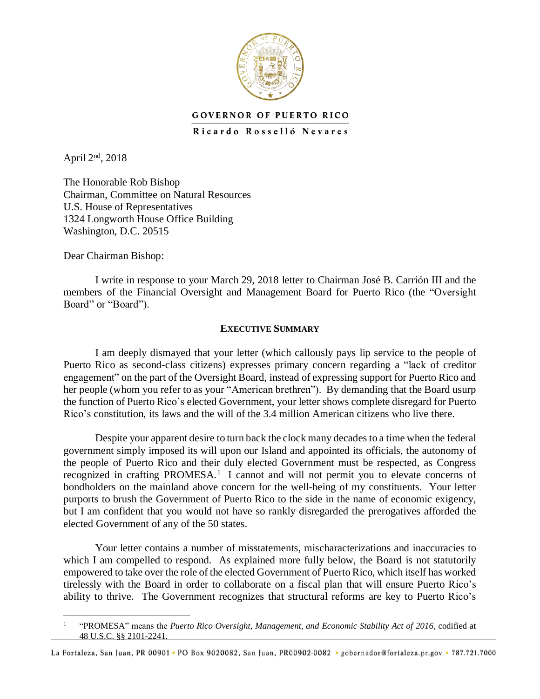

## **GOVERNOR OF PUERTO RICO**

Ricardo Rosselló Nevares

April  $2<sup>nd</sup>$ , 2018

The Honorable Rob Bishop Chairman, Committee on Natural Resources U.S. House of Representatives 1324 Longworth House Office Building Washington, D.C. 20515

Dear Chairman Bishop:

I write in response to your March 29, 2018 letter to Chairman José B. Carrión III and the members of the Financial Oversight and Management Board for Puerto Rico (the "Oversight Board" or "Board").

## **EXECUTIVE SUMMARY**

I am deeply dismayed that your letter (which callously pays lip service to the people of Puerto Rico as second-class citizens) expresses primary concern regarding a "lack of creditor engagement" on the part of the Oversight Board, instead of expressing support for Puerto Rico and her people (whom you refer to as your "American brethren"). By demanding that the Board usurp the function of Puerto Rico's elected Government, your letter shows complete disregard for Puerto Rico's constitution, its laws and the will of the 3.4 million American citizens who live there.

Despite your apparent desire to turn back the clock many decades to a time when the federal government simply imposed its will upon our Island and appointed its officials, the autonomy of the people of Puerto Rico and their duly elected Government must be respected, as Congress recognized in crafting PROMESA.<sup>1</sup> I cannot and will not permit you to elevate concerns of bondholders on the mainland above concern for the well-being of my constituents. Your letter purports to brush the Government of Puerto Rico to the side in the name of economic exigency, but I am confident that you would not have so rankly disregarded the prerogatives afforded the elected Government of any of the 50 states.

Your letter contains a number of misstatements, mischaracterizations and inaccuracies to which I am compelled to respond. As explained more fully below, the Board is not statutorily empowered to take over the role of the elected Government of Puerto Rico, which itself has worked tirelessly with the Board in order to collaborate on a fiscal plan that will ensure Puerto Rico's ability to thrive. The Government recognizes that structural reforms are key to Puerto Rico's

 $\overline{a}$ 1 "PROMESA" means the *Puerto Rico Oversight, Management, and Economic Stability Act of 2016*, codified at 48 U.S.C. §§ 2101-2241.

La Fortaleza, San Juan, PR 00901 • PO Box 9020082, San Juan, PR00902-0082 • gobernador@fortaleza.pr.gov • 787.721.7000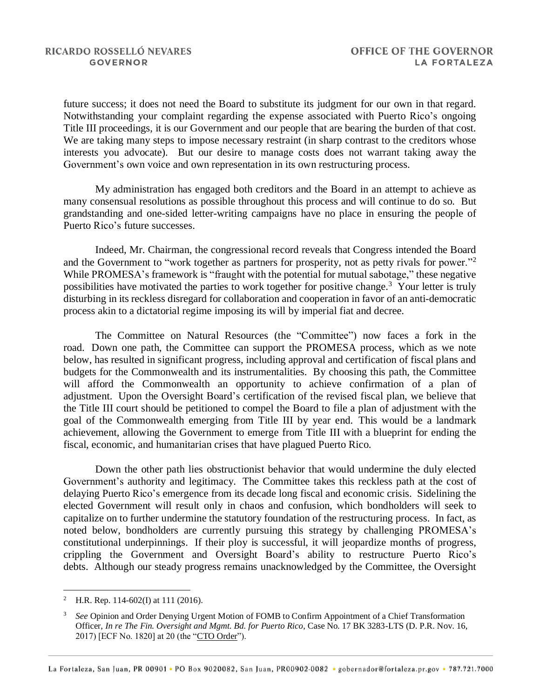future success; it does not need the Board to substitute its judgment for our own in that regard. Notwithstanding your complaint regarding the expense associated with Puerto Rico's ongoing Title III proceedings, it is our Government and our people that are bearing the burden of that cost. We are taking many steps to impose necessary restraint (in sharp contrast to the creditors whose interests you advocate). But our desire to manage costs does not warrant taking away the Government's own voice and own representation in its own restructuring process.

My administration has engaged both creditors and the Board in an attempt to achieve as many consensual resolutions as possible throughout this process and will continue to do so. But grandstanding and one-sided letter-writing campaigns have no place in ensuring the people of Puerto Rico's future successes.

Indeed, Mr. Chairman, the congressional record reveals that Congress intended the Board and the Government to "work together as partners for prosperity, not as petty rivals for power."<sup>2</sup> While PROMESA's framework is "fraught with the potential for mutual sabotage," these negative possibilities have motivated the parties to work together for positive change.<sup>3</sup> Your letter is truly disturbing in its reckless disregard for collaboration and cooperation in favor of an anti-democratic process akin to a dictatorial regime imposing its will by imperial fiat and decree.

The Committee on Natural Resources (the "Committee") now faces a fork in the road. Down one path, the Committee can support the PROMESA process, which as we note below, has resulted in significant progress, including approval and certification of fiscal plans and budgets for the Commonwealth and its instrumentalities. By choosing this path, the Committee will afford the Commonwealth an opportunity to achieve confirmation of a plan of adjustment. Upon the Oversight Board's certification of the revised fiscal plan, we believe that the Title III court should be petitioned to compel the Board to file a plan of adjustment with the goal of the Commonwealth emerging from Title III by year end. This would be a landmark achievement, allowing the Government to emerge from Title III with a blueprint for ending the fiscal, economic, and humanitarian crises that have plagued Puerto Rico.

Down the other path lies obstructionist behavior that would undermine the duly elected Government's authority and legitimacy. The Committee takes this reckless path at the cost of delaying Puerto Rico's emergence from its decade long fiscal and economic crisis. Sidelining the elected Government will result only in chaos and confusion, which bondholders will seek to capitalize on to further undermine the statutory foundation of the restructuring process. In fact, as noted below, bondholders are currently pursuing this strategy by challenging PROMESA's constitutional underpinnings. If their ploy is successful, it will jeopardize months of progress, crippling the Government and Oversight Board's ability to restructure Puerto Rico's debts. Although our steady progress remains unacknowledged by the Committee, the Oversight

<sup>2</sup> H.R. Rep. 114-602(I) at 111 (2016).

<sup>3</sup> *See* Opinion and Order Denying Urgent Motion of FOMB to Confirm Appointment of a Chief Transformation Officer, *In re The Fin. Oversight and Mgmt. Bd. for Puerto Rico*, Case No. 17 BK 3283-LTS (D. P.R. Nov. 16, 2017) [ECF No. 1820] at 20 (the "CTO Order").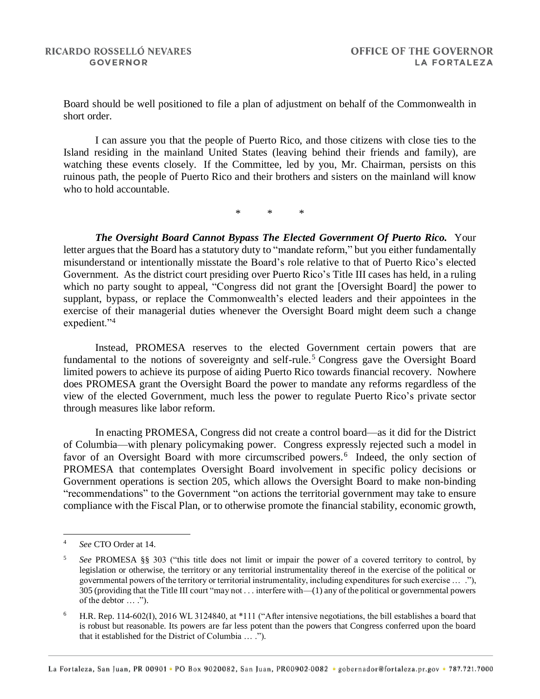Board should be well positioned to file a plan of adjustment on behalf of the Commonwealth in short order.

I can assure you that the people of Puerto Rico, and those citizens with close ties to the Island residing in the mainland United States (leaving behind their friends and family), are watching these events closely. If the Committee, led by you, Mr. Chairman, persists on this ruinous path, the people of Puerto Rico and their brothers and sisters on the mainland will know who to hold accountable.

\* \* \*

*The Oversight Board Cannot Bypass The Elected Government Of Puerto Rico.* Your letter argues that the Board has a statutory duty to "mandate reform," but you either fundamentally misunderstand or intentionally misstate the Board's role relative to that of Puerto Rico's elected Government. As the district court presiding over Puerto Rico's Title III cases has held, in a ruling which no party sought to appeal, "Congress did not grant the [Oversight Board] the power to supplant, bypass, or replace the Commonwealth's elected leaders and their appointees in the exercise of their managerial duties whenever the Oversight Board might deem such a change expedient."<sup>4</sup>

Instead, PROMESA reserves to the elected Government certain powers that are fundamental to the notions of sovereignty and self-rule.<sup>5</sup> Congress gave the Oversight Board limited powers to achieve its purpose of aiding Puerto Rico towards financial recovery. Nowhere does PROMESA grant the Oversight Board the power to mandate any reforms regardless of the view of the elected Government, much less the power to regulate Puerto Rico's private sector through measures like labor reform.

In enacting PROMESA, Congress did not create a control board—as it did for the District of Columbia—with plenary policymaking power. Congress expressly rejected such a model in favor of an Oversight Board with more circumscribed powers.<sup>6</sup> Indeed, the only section of PROMESA that contemplates Oversight Board involvement in specific policy decisions or Government operations is section 205, which allows the Oversight Board to make non-binding "recommendations" to the Government "on actions the territorial government may take to ensure compliance with the Fiscal Plan, or to otherwise promote the financial stability, economic growth,

<sup>4</sup> *See* CTO Order at 14.

<sup>5</sup> *See* PROMESA §§ 303 ("this title does not limit or impair the power of a covered territory to control, by legislation or otherwise, the territory or any territorial instrumentality thereof in the exercise of the political or governmental powers of the territory or territorial instrumentality, including expenditures for such exercise … ."), 305 (providing that the Title III court "may not . . . interfere with—(1) any of the political or governmental powers of the debtor … .").

<sup>&</sup>lt;sup>6</sup> H.R. Rep. 114-602(I), 2016 WL 3124840, at \*111 ("After intensive negotiations, the bill establishes a board that is robust but reasonable. Its powers are far less potent than the powers that Congress conferred upon the board that it established for the District of Columbia … .").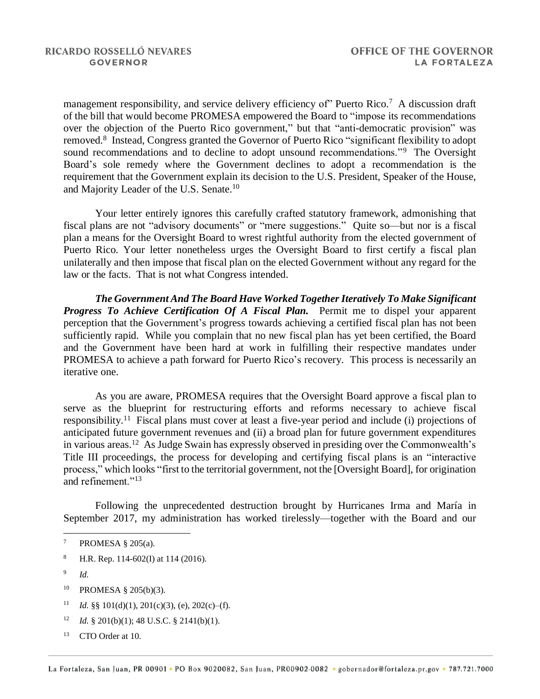management responsibility, and service delivery efficiency of" Puerto Rico.<sup>7</sup> A discussion draft of the bill that would become PROMESA empowered the Board to "impose its recommendations over the objection of the Puerto Rico government," but that "anti-democratic provision" was removed.<sup>8</sup> Instead, Congress granted the Governor of Puerto Rico "significant flexibility to adopt sound recommendations and to decline to adopt unsound recommendations."<sup>9</sup> The Oversight Board's sole remedy where the Government declines to adopt a recommendation is the requirement that the Government explain its decision to the U.S. President, Speaker of the House, and Majority Leader of the U.S. Senate.<sup>10</sup>

Your letter entirely ignores this carefully crafted statutory framework, admonishing that fiscal plans are not "advisory documents" or "mere suggestions." Quite so—but nor is a fiscal plan a means for the Oversight Board to wrest rightful authority from the elected government of Puerto Rico. Your letter nonetheless urges the Oversight Board to first certify a fiscal plan unilaterally and then impose that fiscal plan on the elected Government without any regard for the law or the facts. That is not what Congress intended.

*The Government And The Board Have Worked Together Iteratively To Make Significant Progress To Achieve Certification Of A Fiscal Plan.*Permit me to dispel your apparent perception that the Government's progress towards achieving a certified fiscal plan has not been sufficiently rapid. While you complain that no new fiscal plan has yet been certified, the Board and the Government have been hard at work in fulfilling their respective mandates under PROMESA to achieve a path forward for Puerto Rico's recovery. This process is necessarily an iterative one.

As you are aware, PROMESA requires that the Oversight Board approve a fiscal plan to serve as the blueprint for restructuring efforts and reforms necessary to achieve fiscal responsibility.<sup>11</sup> Fiscal plans must cover at least a five-year period and include (i) projections of anticipated future government revenues and (ii) a broad plan for future government expenditures in various areas.<sup>12</sup> As Judge Swain has expressly observed in presiding over the Commonwealth's Title III proceedings, the process for developing and certifying fiscal plans is an "interactive process," which looks "first to the territorial government, not the [Oversight Board], for origination and refinement."<sup>13</sup>

Following the unprecedented destruction brought by Hurricanes Irma and María in September 2017, my administration has worked tirelessly—together with the Board and our

- <sup>8</sup> H.R. Rep. 114-602(I) at 114 (2016).
- 9 *Id.*

- <sup>10</sup> PROMESA § 205(b)(3).
- <sup>11</sup> *Id.* §§ 101(d)(1), 201(c)(3), (e), 202(c)–(f).
- <sup>12</sup> *Id.* § 201(b)(1); 48 U.S.C. § 2141(b)(1).
- <sup>13</sup> CTO Order at 10.

<sup>&</sup>lt;sup>7</sup> PROMESA  $\S$  205(a).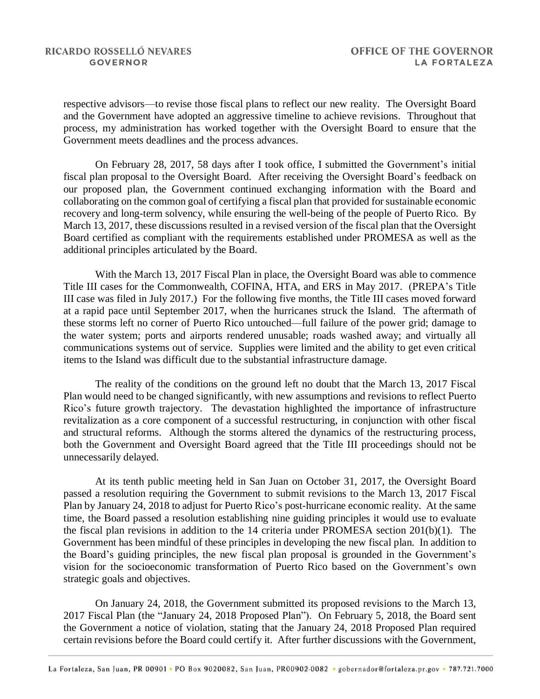respective advisors—to revise those fiscal plans to reflect our new reality. The Oversight Board and the Government have adopted an aggressive timeline to achieve revisions. Throughout that process, my administration has worked together with the Oversight Board to ensure that the Government meets deadlines and the process advances.

On February 28, 2017, 58 days after I took office, I submitted the Government's initial fiscal plan proposal to the Oversight Board. After receiving the Oversight Board's feedback on our proposed plan, the Government continued exchanging information with the Board and collaborating on the common goal of certifying a fiscal plan that provided for sustainable economic recovery and long-term solvency, while ensuring the well-being of the people of Puerto Rico. By March 13, 2017, these discussions resulted in a revised version of the fiscal plan that the Oversight Board certified as compliant with the requirements established under PROMESA as well as the additional principles articulated by the Board.

With the March 13, 2017 Fiscal Plan in place, the Oversight Board was able to commence Title III cases for the Commonwealth, COFINA, HTA, and ERS in May 2017. (PREPA's Title III case was filed in July 2017.) For the following five months, the Title III cases moved forward at a rapid pace until September 2017, when the hurricanes struck the Island. The aftermath of these storms left no corner of Puerto Rico untouched—full failure of the power grid; damage to the water system; ports and airports rendered unusable; roads washed away; and virtually all communications systems out of service. Supplies were limited and the ability to get even critical items to the Island was difficult due to the substantial infrastructure damage.

The reality of the conditions on the ground left no doubt that the March 13, 2017 Fiscal Plan would need to be changed significantly, with new assumptions and revisions to reflect Puerto Rico's future growth trajectory. The devastation highlighted the importance of infrastructure revitalization as a core component of a successful restructuring, in conjunction with other fiscal and structural reforms. Although the storms altered the dynamics of the restructuring process, both the Government and Oversight Board agreed that the Title III proceedings should not be unnecessarily delayed.

At its tenth public meeting held in San Juan on October 31, 2017, the Oversight Board passed a resolution requiring the Government to submit revisions to the March 13, 2017 Fiscal Plan by January 24, 2018 to adjust for Puerto Rico's post-hurricane economic reality. At the same time, the Board passed a resolution establishing nine guiding principles it would use to evaluate the fiscal plan revisions in addition to the 14 criteria under PROMESA section 201(b)(1). The Government has been mindful of these principles in developing the new fiscal plan. In addition to the Board's guiding principles, the new fiscal plan proposal is grounded in the Government's vision for the socioeconomic transformation of Puerto Rico based on the Government's own strategic goals and objectives.

On January 24, 2018, the Government submitted its proposed revisions to the March 13, 2017 Fiscal Plan (the "January 24, 2018 Proposed Plan"). On February 5, 2018, the Board sent the Government a notice of violation, stating that the January 24, 2018 Proposed Plan required certain revisions before the Board could certify it. After further discussions with the Government,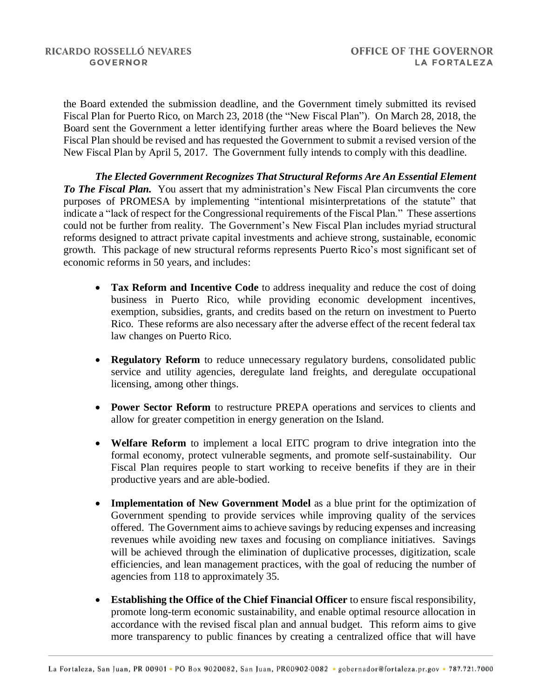the Board extended the submission deadline, and the Government timely submitted its revised Fiscal Plan for Puerto Rico, on March 23, 2018 (the "New Fiscal Plan"). On March 28, 2018, the Board sent the Government a letter identifying further areas where the Board believes the New Fiscal Plan should be revised and has requested the Government to submit a revised version of the New Fiscal Plan by April 5, 2017. The Government fully intends to comply with this deadline.

*The Elected Government Recognizes That Structural Reforms Are An Essential Element To The Fiscal Plan.* You assert that my administration's New Fiscal Plan circumvents the core purposes of PROMESA by implementing "intentional misinterpretations of the statute" that indicate a "lack of respect for the Congressional requirements of the Fiscal Plan." These assertions could not be further from reality. The Government's New Fiscal Plan includes myriad structural reforms designed to attract private capital investments and achieve strong, sustainable, economic growth. This package of new structural reforms represents Puerto Rico's most significant set of economic reforms in 50 years, and includes:

- **Tax Reform and Incentive Code** to address inequality and reduce the cost of doing business in Puerto Rico, while providing economic development incentives, exemption, subsidies, grants, and credits based on the return on investment to Puerto Rico. These reforms are also necessary after the adverse effect of the recent federal tax law changes on Puerto Rico.
- **Regulatory Reform** to reduce unnecessary regulatory burdens, consolidated public service and utility agencies, deregulate land freights, and deregulate occupational licensing, among other things.
- **Power Sector Reform** to restructure PREPA operations and services to clients and allow for greater competition in energy generation on the Island.
- **Welfare Reform** to implement a local EITC program to drive integration into the formal economy, protect vulnerable segments, and promote self-sustainability. Our Fiscal Plan requires people to start working to receive benefits if they are in their productive years and are able-bodied.
- **Implementation of New Government Model** as a blue print for the optimization of Government spending to provide services while improving quality of the services offered. The Government aims to achieve savings by reducing expenses and increasing revenues while avoiding new taxes and focusing on compliance initiatives. Savings will be achieved through the elimination of duplicative processes, digitization, scale efficiencies, and lean management practices, with the goal of reducing the number of agencies from 118 to approximately 35.
- **Establishing the Office of the Chief Financial Officer** to ensure fiscal responsibility, promote long-term economic sustainability, and enable optimal resource allocation in accordance with the revised fiscal plan and annual budget. This reform aims to give more transparency to public finances by creating a centralized office that will have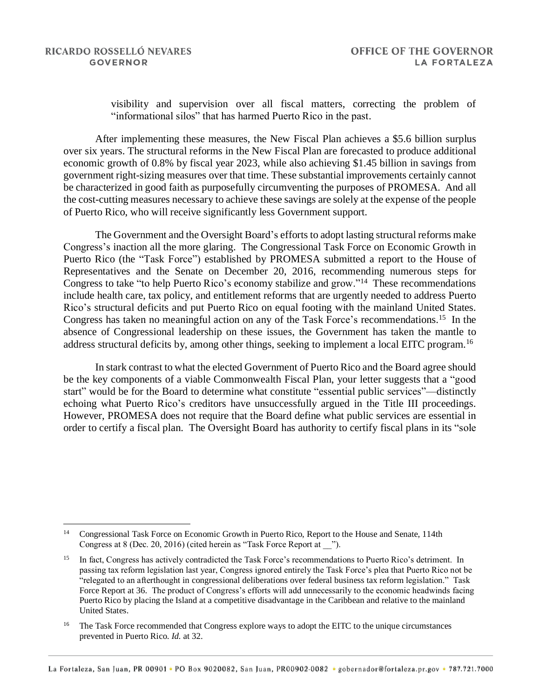$\overline{a}$ 

visibility and supervision over all fiscal matters, correcting the problem of "informational silos" that has harmed Puerto Rico in the past.

After implementing these measures, the New Fiscal Plan achieves a \$5.6 billion surplus over six years. The structural reforms in the New Fiscal Plan are forecasted to produce additional economic growth of 0.8% by fiscal year 2023, while also achieving \$1.45 billion in savings from government right-sizing measures over that time. These substantial improvements certainly cannot be characterized in good faith as purposefully circumventing the purposes of PROMESA. And all the cost-cutting measures necessary to achieve these savings are solely at the expense of the people of Puerto Rico, who will receive significantly less Government support.

The Government and the Oversight Board's efforts to adopt lasting structural reforms make Congress's inaction all the more glaring. The Congressional Task Force on Economic Growth in Puerto Rico (the "Task Force") established by PROMESA submitted a report to the House of Representatives and the Senate on December 20, 2016, recommending numerous steps for Congress to take "to help Puerto Rico's economy stabilize and grow."<sup>14</sup> These recommendations include health care, tax policy, and entitlement reforms that are urgently needed to address Puerto Rico's structural deficits and put Puerto Rico on equal footing with the mainland United States. Congress has taken no meaningful action on any of the Task Force's recommendations.<sup>15</sup> In the absence of Congressional leadership on these issues, the Government has taken the mantle to address structural deficits by, among other things, seeking to implement a local EITC program.<sup>16</sup>

In stark contrast to what the elected Government of Puerto Rico and the Board agree should be the key components of a viable Commonwealth Fiscal Plan, your letter suggests that a "good start" would be for the Board to determine what constitute "essential public services"—distinctly echoing what Puerto Rico's creditors have unsuccessfully argued in the Title III proceedings. However, PROMESA does not require that the Board define what public services are essential in order to certify a fiscal plan. The Oversight Board has authority to certify fiscal plans in its "sole

<sup>&</sup>lt;sup>14</sup> Congressional Task Force on Economic Growth in Puerto Rico, Report to the House and Senate, 114th Congress at 8 (Dec. 20, 2016) (cited herein as "Task Force Report at \_\_\_").

<sup>&</sup>lt;sup>15</sup> In fact, Congress has actively contradicted the Task Force's recommendations to Puerto Rico's detriment. In passing tax reform legislation last year, Congress ignored entirely the Task Force's plea that Puerto Rico not be "relegated to an afterthought in congressional deliberations over federal business tax reform legislation." Task Force Report at 36. The product of Congress's efforts will add unnecessarily to the economic headwinds facing Puerto Rico by placing the Island at a competitive disadvantage in the Caribbean and relative to the mainland United States.

<sup>&</sup>lt;sup>16</sup> The Task Force recommended that Congress explore ways to adopt the EITC to the unique circumstances prevented in Puerto Rico. *Id.* at 32.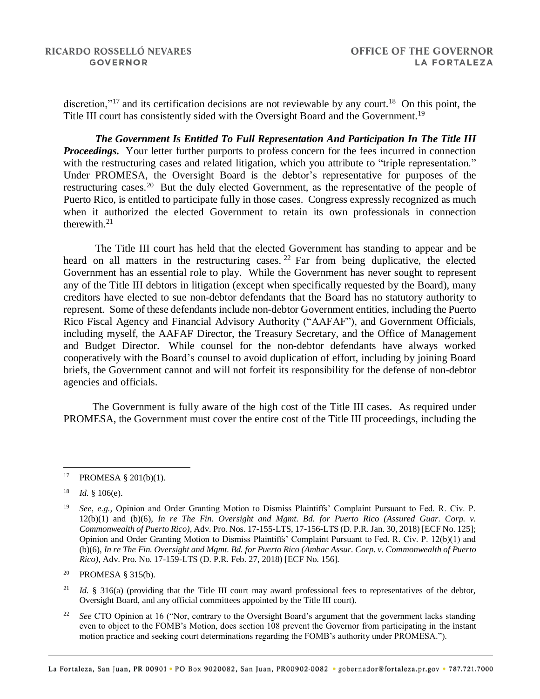discretion,"<sup>17</sup> and its certification decisions are not reviewable by any court.<sup>18</sup> On this point, the Title III court has consistently sided with the Oversight Board and the Government.<sup>19</sup>

*The Government Is Entitled To Full Representation And Participation In The Title III Proceedings.* Your letter further purports to profess concern for the fees incurred in connection with the restructuring cases and related litigation, which you attribute to "triple representation." Under PROMESA, the Oversight Board is the debtor's representative for purposes of the restructuring cases.<sup>20</sup> But the duly elected Government, as the representative of the people of Puerto Rico, is entitled to participate fully in those cases. Congress expressly recognized as much when it authorized the elected Government to retain its own professionals in connection therewith. $21$ 

The Title III court has held that the elected Government has standing to appear and be heard on all matters in the restructuring cases. <sup>22</sup> Far from being duplicative, the elected Government has an essential role to play. While the Government has never sought to represent any of the Title III debtors in litigation (except when specifically requested by the Board), many creditors have elected to sue non-debtor defendants that the Board has no statutory authority to represent. Some of these defendants include non-debtor Government entities, including the Puerto Rico Fiscal Agency and Financial Advisory Authority ("AAFAF"), and Government Officials, including myself, the AAFAF Director, the Treasury Secretary, and the Office of Management and Budget Director. While counsel for the non-debtor defendants have always worked cooperatively with the Board's counsel to avoid duplication of effort, including by joining Board briefs, the Government cannot and will not forfeit its responsibility for the defense of non-debtor agencies and officials.

The Government is fully aware of the high cost of the Title III cases. As required under PROMESA, the Government must cover the entire cost of the Title III proceedings, including the

<sup>22</sup> *See* CTO Opinion at 16 ("Nor, contrary to the Oversight Board's argument that the government lacks standing even to object to the FOMB's Motion, does section 108 prevent the Governor from participating in the instant motion practice and seeking court determinations regarding the FOMB's authority under PROMESA.").

 $\overline{a}$  $17$  PROMESA § 201(b)(1).

 $18$  *Id.* § 106(e).

<sup>19</sup> *See, e.g.,* Opinion and Order Granting Motion to Dismiss Plaintiffs' Complaint Pursuant to Fed. R. Civ. P. 12(b)(1) and (b)(6), *In re The Fin. Oversight and Mgmt. Bd. for Puerto Rico (Assured Guar. Corp. v. Commonwealth of Puerto Rico)*, Adv. Pro. Nos. 17-155-LTS, 17-156-LTS (D. P.R. Jan. 30, 2018) [ECF No. 125]; Opinion and Order Granting Motion to Dismiss Plaintiffs' Complaint Pursuant to Fed. R. Civ. P. 12(b)(1) and (b)(6), *In re The Fin. Oversight and Mgmt. Bd. for Puerto Rico (Ambac Assur. Corp. v. Commonwealth of Puerto Rico)*, Adv. Pro. No. 17-159-LTS (D. P.R. Feb. 27, 2018) [ECF No. 156].

<sup>20</sup> PROMESA § 315(b).

<sup>&</sup>lt;sup>21</sup> *Id.* § 316(a) (providing that the Title III court may award professional fees to representatives of the debtor, Oversight Board, and any official committees appointed by the Title III court).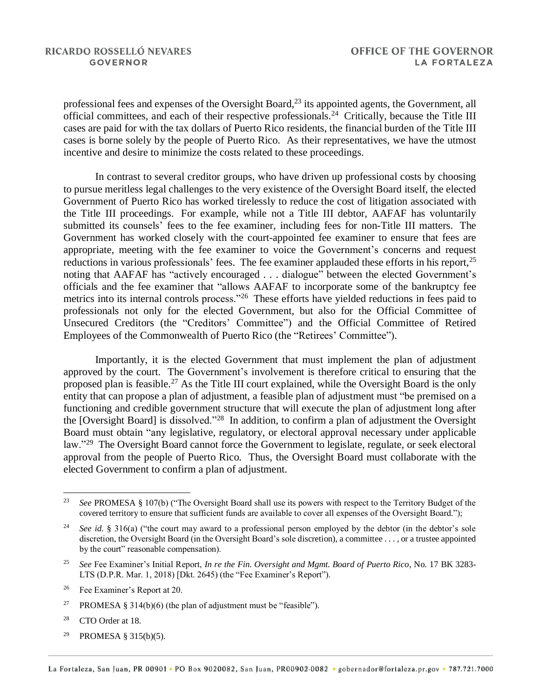professional fees and expenses of the Oversight Board,<sup>23</sup> its appointed agents, the Government, all official committees, and each of their respective professionals.<sup>24</sup> Critically, because the Title III cases are paid for with the tax dollars of Puerto Rico residents, the financial burden of the Title III cases is borne solely by the people of Puerto Rico. As their representatives, we have the utmost incentive and desire to minimize the costs related to these proceedings.

In contrast to several creditor groups, who have driven up professional costs by choosing to pursue meritless legal challenges to the very existence of the Oversight Board itself, the elected Government of Puerto Rico has worked tirelessly to reduce the cost of litigation associated with the Title III proceedings. For example, while not a Title III debtor, AAFAF has voluntarily submitted its counsels' fees to the fee examiner, including fees for non-Title III matters. The Government has worked closely with the court-appointed fee examiner to ensure that fees are appropriate, meeting with the fee examiner to voice the Government's concerns and request reductions in various professionals' fees. The fee examiner applauded these efforts in his report,<sup>25</sup> noting that AAFAF has "actively encouraged . . . dialogue" between the elected Government's officials and the fee examiner that "allows AAFAF to incorporate some of the bankruptcy fee metrics into its internal controls process."<sup>26</sup> These efforts have yielded reductions in fees paid to professionals not only for the elected Government, but also for the Official Committee of Unsecured Creditors (the "Creditors' Committee") and the Official Committee of Retired Employees of the Commonwealth of Puerto Rico (the "Retirees' Committee").

Importantly, it is the elected Government that must implement the plan of adjustment approved by the court. The Government's involvement is therefore critical to ensuring that the proposed plan is feasible.<sup>27</sup> As the Title III court explained, while the Oversight Board is the only entity that can propose a plan of adjustment, a feasible plan of adjustment must "be premised on a functioning and credible government structure that will execute the plan of adjustment long after the [Oversight Board] is dissolved."<sup>28</sup> In addition, to confirm a plan of adjustment the Oversight Board must obtain "any legislative, regulatory, or electoral approval necessary under applicable law."<sup>29</sup> The Oversight Board cannot force the Government to legislate, regulate, or seek electoral approval from the people of Puerto Rico. Thus, the Oversight Board must collaborate with the elected Government to confirm a plan of adjustment.

- <sup>27</sup> PROMESA § 314(b)(6) (the plan of adjustment must be "feasible").
- <sup>28</sup> CTO Order at 18.

 $\overline{a}$ 

<sup>29</sup> PROMESA § 315(b)(5).

<sup>23</sup> *See* PROMESA § 107(b) ("The Oversight Board shall use its powers with respect to the Territory Budget of the covered territory to ensure that sufficient funds are available to cover all expenses of the Oversight Board.");

<sup>&</sup>lt;sup>24</sup> *See id.* § 316(a) ("the court may award to a professional person employed by the debtor (in the debtor's sole discretion, the Oversight Board (in the Oversight Board's sole discretion), a committee . . . , or a trustee appointed by the court" reasonable compensation).

<sup>25</sup> *See* Fee Examiner's Initial Report, *In re the Fin. Oversight and Mgmt. Board of Puerto Rico*, No. 17 BK 3283- LTS (D.P.R. Mar. 1, 2018) [Dkt. 2645) (the "Fee Examiner's Report").

<sup>26</sup> Fee Examiner's Report at 20.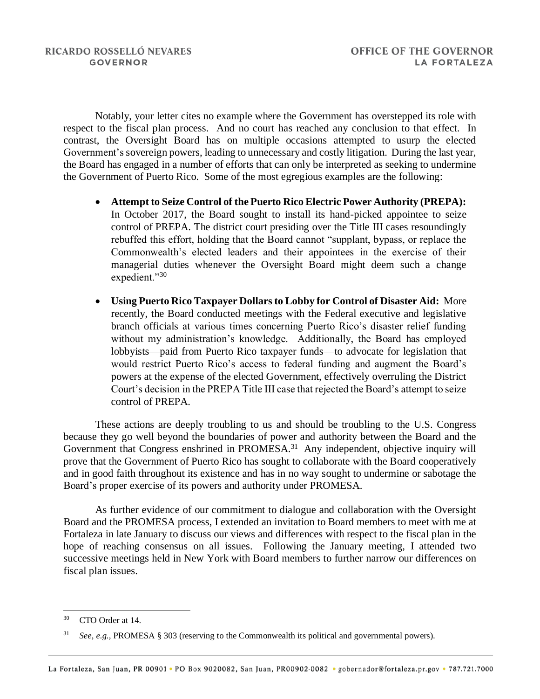Notably, your letter cites no example where the Government has overstepped its role with respect to the fiscal plan process. And no court has reached any conclusion to that effect. In contrast, the Oversight Board has on multiple occasions attempted to usurp the elected Government's sovereign powers, leading to unnecessary and costly litigation. During the last year, the Board has engaged in a number of efforts that can only be interpreted as seeking to undermine the Government of Puerto Rico. Some of the most egregious examples are the following:

- **Attempt to Seize Control of the Puerto Rico Electric Power Authority (PREPA):**  In October 2017, the Board sought to install its hand-picked appointee to seize control of PREPA. The district court presiding over the Title III cases resoundingly rebuffed this effort, holding that the Board cannot "supplant, bypass, or replace the Commonwealth's elected leaders and their appointees in the exercise of their managerial duties whenever the Oversight Board might deem such a change expedient."30
- **Using Puerto Rico Taxpayer Dollars to Lobby for Control of Disaster Aid:** More recently, the Board conducted meetings with the Federal executive and legislative branch officials at various times concerning Puerto Rico's disaster relief funding without my administration's knowledge. Additionally, the Board has employed lobbyists—paid from Puerto Rico taxpayer funds—to advocate for legislation that would restrict Puerto Rico's access to federal funding and augment the Board's powers at the expense of the elected Government, effectively overruling the District Court's decision in the PREPA Title III case that rejected the Board's attempt to seize control of PREPA.

These actions are deeply troubling to us and should be troubling to the U.S. Congress because they go well beyond the boundaries of power and authority between the Board and the Government that Congress enshrined in PROMESA.<sup>31</sup> Any independent, objective inquiry will prove that the Government of Puerto Rico has sought to collaborate with the Board cooperatively and in good faith throughout its existence and has in no way sought to undermine or sabotage the Board's proper exercise of its powers and authority under PROMESA.

As further evidence of our commitment to dialogue and collaboration with the Oversight Board and the PROMESA process, I extended an invitation to Board members to meet with me at Fortaleza in late January to discuss our views and differences with respect to the fiscal plan in the hope of reaching consensus on all issues. Following the January meeting, I attended two successive meetings held in New York with Board members to further narrow our differences on fiscal plan issues.

<sup>30</sup> CTO Order at 14.

<sup>31</sup> *See, e.g.,* PROMESA § 303 (reserving to the Commonwealth its political and governmental powers).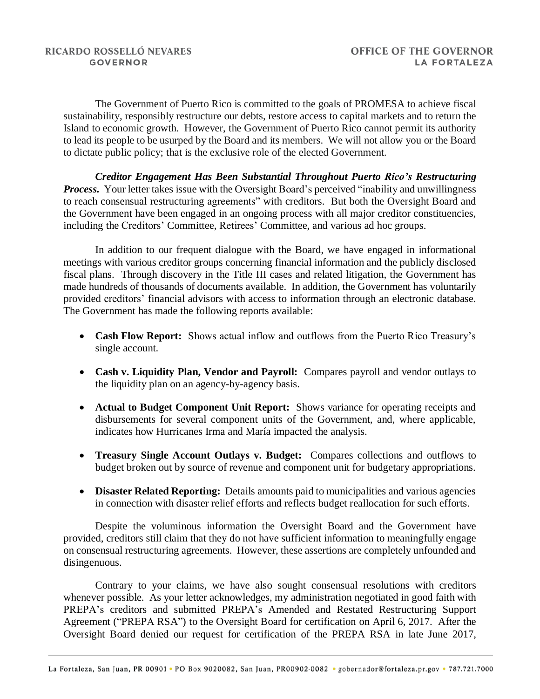The Government of Puerto Rico is committed to the goals of PROMESA to achieve fiscal sustainability, responsibly restructure our debts, restore access to capital markets and to return the Island to economic growth. However, the Government of Puerto Rico cannot permit its authority to lead its people to be usurped by the Board and its members. We will not allow you or the Board to dictate public policy; that is the exclusive role of the elected Government.

*Creditor Engagement Has Been Substantial Throughout Puerto Rico's Restructuring* **Process.** Your letter takes issue with the Oversight Board's perceived "inability and unwillingness" to reach consensual restructuring agreements" with creditors. But both the Oversight Board and the Government have been engaged in an ongoing process with all major creditor constituencies, including the Creditors' Committee, Retirees' Committee, and various ad hoc groups.

In addition to our frequent dialogue with the Board, we have engaged in informational meetings with various creditor groups concerning financial information and the publicly disclosed fiscal plans. Through discovery in the Title III cases and related litigation, the Government has made hundreds of thousands of documents available. In addition, the Government has voluntarily provided creditors' financial advisors with access to information through an electronic database. The Government has made the following reports available:

- **Cash Flow Report:** Shows actual inflow and outflows from the Puerto Rico Treasury's single account.
- **Cash v. Liquidity Plan, Vendor and Payroll:** Compares payroll and vendor outlays to the liquidity plan on an agency-by-agency basis.
- **Actual to Budget Component Unit Report:** Shows variance for operating receipts and disbursements for several component units of the Government, and, where applicable, indicates how Hurricanes Irma and María impacted the analysis.
- **Treasury Single Account Outlays v. Budget:** Compares collections and outflows to budget broken out by source of revenue and component unit for budgetary appropriations.
- **Disaster Related Reporting:** Details amounts paid to municipalities and various agencies in connection with disaster relief efforts and reflects budget reallocation for such efforts.

Despite the voluminous information the Oversight Board and the Government have provided, creditors still claim that they do not have sufficient information to meaningfully engage on consensual restructuring agreements. However, these assertions are completely unfounded and disingenuous.

Contrary to your claims, we have also sought consensual resolutions with creditors whenever possible. As your letter acknowledges, my administration negotiated in good faith with PREPA's creditors and submitted PREPA's Amended and Restated Restructuring Support Agreement ("PREPA RSA") to the Oversight Board for certification on April 6, 2017. After the Oversight Board denied our request for certification of the PREPA RSA in late June 2017,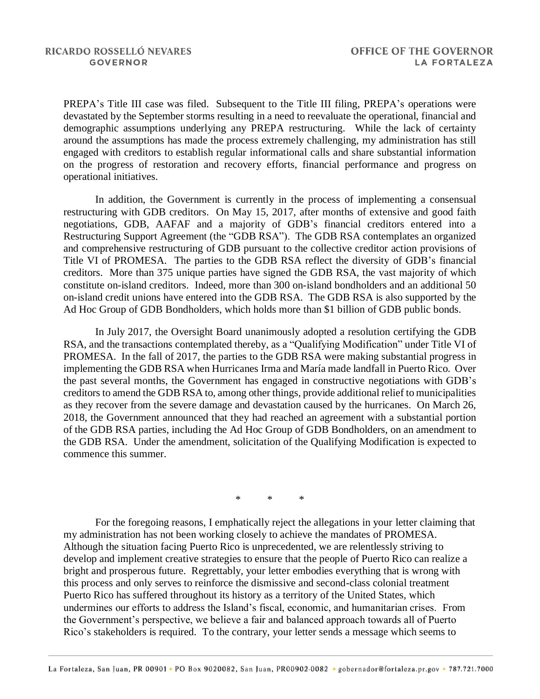PREPA's Title III case was filed. Subsequent to the Title III filing, PREPA's operations were devastated by the September storms resulting in a need to reevaluate the operational, financial and demographic assumptions underlying any PREPA restructuring. While the lack of certainty around the assumptions has made the process extremely challenging, my administration has still engaged with creditors to establish regular informational calls and share substantial information on the progress of restoration and recovery efforts, financial performance and progress on operational initiatives.

In addition, the Government is currently in the process of implementing a consensual restructuring with GDB creditors. On May 15, 2017, after months of extensive and good faith negotiations, GDB, AAFAF and a majority of GDB's financial creditors entered into a Restructuring Support Agreement (the "GDB RSA"). The GDB RSA contemplates an organized and comprehensive restructuring of GDB pursuant to the collective creditor action provisions of Title VI of PROMESA. The parties to the GDB RSA reflect the diversity of GDB's financial creditors. More than 375 unique parties have signed the GDB RSA, the vast majority of which constitute on-island creditors. Indeed, more than 300 on-island bondholders and an additional 50 on-island credit unions have entered into the GDB RSA. The GDB RSA is also supported by the Ad Hoc Group of GDB Bondholders, which holds more than \$1 billion of GDB public bonds.

In July 2017, the Oversight Board unanimously adopted a resolution certifying the GDB RSA, and the transactions contemplated thereby, as a "Qualifying Modification" under Title VI of PROMESA. In the fall of 2017, the parties to the GDB RSA were making substantial progress in implementing the GDB RSA when Hurricanes Irma and María made landfall in Puerto Rico. Over the past several months, the Government has engaged in constructive negotiations with GDB's creditors to amend the GDB RSA to, among other things, provide additional relief to municipalities as they recover from the severe damage and devastation caused by the hurricanes. On March 26, 2018, the Government announced that they had reached an agreement with a substantial portion of the GDB RSA parties, including the Ad Hoc Group of GDB Bondholders, on an amendment to the GDB RSA. Under the amendment, solicitation of the Qualifying Modification is expected to commence this summer.

\* \* \*

For the foregoing reasons, I emphatically reject the allegations in your letter claiming that my administration has not been working closely to achieve the mandates of PROMESA. Although the situation facing Puerto Rico is unprecedented, we are relentlessly striving to develop and implement creative strategies to ensure that the people of Puerto Rico can realize a bright and prosperous future. Regrettably, your letter embodies everything that is wrong with this process and only serves to reinforce the dismissive and second-class colonial treatment Puerto Rico has suffered throughout its history as a territory of the United States, which undermines our efforts to address the Island's fiscal, economic, and humanitarian crises. From the Government's perspective, we believe a fair and balanced approach towards all of Puerto Rico's stakeholders is required. To the contrary, your letter sends a message which seems to